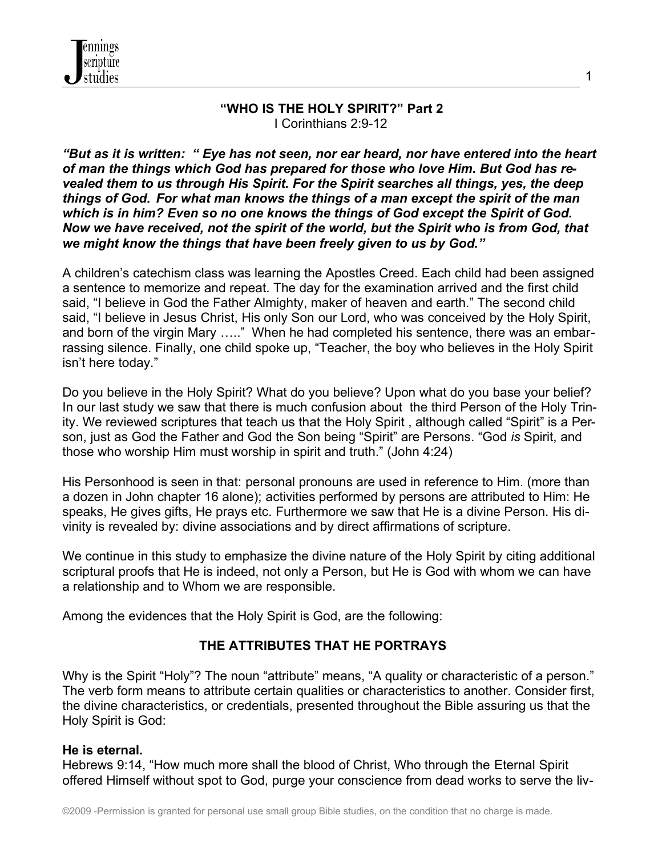

#### **"WHO IS THE HOLY SPIRIT?" Part 2** I Corinthians 2:9-12

*"But as it is written: " Eye has not seen, nor ear heard, nor have entered into the heart of man the things which God has prepared for those who love Him. But God has revealed them to us through His Spirit. For the Spirit searches all things, yes, the deep things of God. For what man knows the things of a man except the spirit of the man which is in him? Even so no one knows the things of God except the Spirit of God. Now we have received, not the spirit of the world, but the Spirit who is from God, that we might know the things that have been freely given to us by God."*

A children's catechism class was learning the Apostles Creed. Each child had been assigned a sentence to memorize and repeat. The day for the examination arrived and the first child said, "I believe in God the Father Almighty, maker of heaven and earth." The second child said, "I believe in Jesus Christ, His only Son our Lord, who was conceived by the Holy Spirit, and born of the virgin Mary ….." When he had completed his sentence, there was an embarrassing silence. Finally, one child spoke up, "Teacher, the boy who believes in the Holy Spirit isn't here today."

Do you believe in the Holy Spirit? What do you believe? Upon what do you base your belief? In our last study we saw that there is much confusion about the third Person of the Holy Trinity. We reviewed scriptures that teach us that the Holy Spirit , although called "Spirit" is a Person, just as God the Father and God the Son being "Spirit" are Persons. "God *is* Spirit, and those who worship Him must worship in spirit and truth." (John 4:24)

His Personhood is seen in that: personal pronouns are used in reference to Him. (more than a dozen in John chapter 16 alone); activities performed by persons are attributed to Him: He speaks, He gives gifts, He prays etc. Furthermore we saw that He is a divine Person. His divinity is revealed by: divine associations and by direct affirmations of scripture.

We continue in this study to emphasize the divine nature of the Holy Spirit by citing additional scriptural proofs that He is indeed, not only a Person, but He is God with whom we can have a relationship and to Whom we are responsible.

Among the evidences that the Holy Spirit is God, are the following:

## **THE ATTRIBUTES THAT HE PORTRAYS**

Why is the Spirit "Holy"? The noun "attribute" means, "A quality or characteristic of a person." The verb form means to attribute certain qualities or characteristics to another. Consider first, the divine characteristics, or credentials, presented throughout the Bible assuring us that the Holy Spirit is God:

#### **He is eternal.**

Hebrews 9:14, "How much more shall the blood of Christ, Who through the Eternal Spirit offered Himself without spot to God, purge your conscience from dead works to serve the liv-

1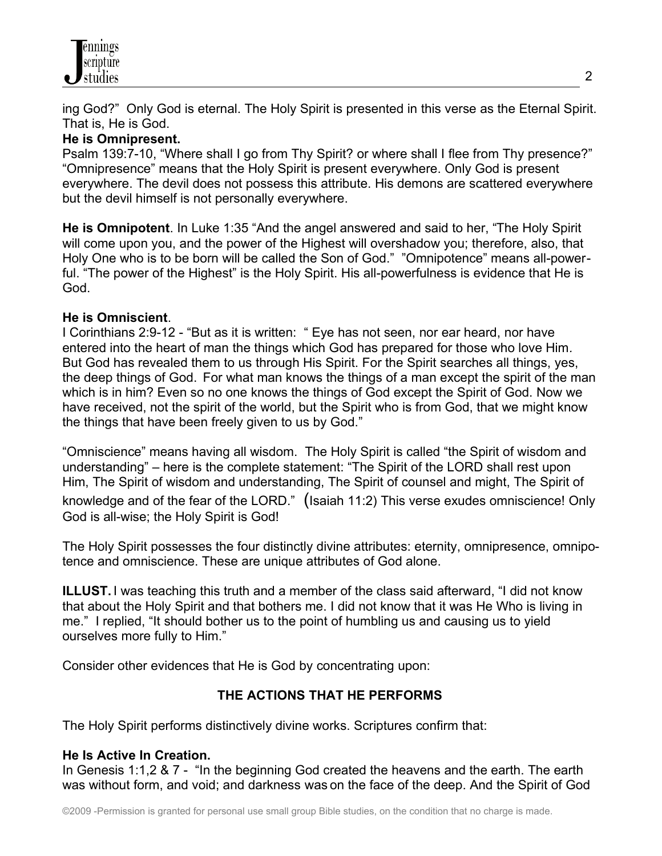ing God?" Only God is eternal. The Holy Spirit is presented in this verse as the Eternal Spirit. That is, He is God.

### **He is Omnipresent.**

Psalm 139:7-10, "Where shall I go from Thy Spirit? or where shall I flee from Thy presence?" "Omnipresence" means that the Holy Spirit is present everywhere. Only God is present everywhere. The devil does not possess this attribute. His demons are scattered everywhere but the devil himself is not personally everywhere.

**He is Omnipotent**. In Luke 1:35 "And the angel answered and said to her, "The Holy Spirit will come upon you, and the power of the Highest will overshadow you; therefore, also, that Holy One who is to be born will be called the Son of God." "Omnipotence" means all-powerful. "The power of the Highest" is the Holy Spirit. His all-powerfulness is evidence that He is God.

## **He is Omniscient**.

I Corinthians 2:9-12 - "But as it is written: " Eye has not seen, nor ear heard, nor have entered into the heart of man the things which God has prepared for those who love Him*.* But God has revealed them to us through His Spirit. For the Spirit searches all things, yes, the deep things of God. For what man knows the things of a man except the spirit of the man which is in him? Even so no one knows the things of God except the Spirit of God. Now we have received, not the spirit of the world, but the Spirit who is from God, that we might know the things that have been freely given to us by God."

"Omniscience" means having all wisdom. The Holy Spirit is called "the Spirit of wisdom and understanding" – here is the complete statement: "The Spirit of the LORD shall rest upon Him, The Spirit of wisdom and understanding, The Spirit of counsel and might, The Spirit of knowledge and of the fear of the LORD." (Isaiah 11:2) This verse exudes omniscience! Only God is all-wise; the Holy Spirit is God!

The Holy Spirit possesses the four distinctly divine attributes: eternity, omnipresence, omnipotence and omniscience. These are unique attributes of God alone.

**ILLUST.** I was teaching this truth and a member of the class said afterward, "I did not know that about the Holy Spirit and that bothers me. I did not know that it was He Who is living in me." I replied, "It should bother us to the point of humbling us and causing us to yield ourselves more fully to Him."

Consider other evidences that He is God by concentrating upon:

# **THE ACTIONS THAT HE PERFORMS**

The Holy Spirit performs distinctively divine works. Scriptures confirm that:

## **He Is Active In Creation.**

In Genesis 1:1,2 & 7 - "In the beginning God created the heavens and the earth. The earth was without form, and void; and darkness was on the face of the deep. And the Spirit of God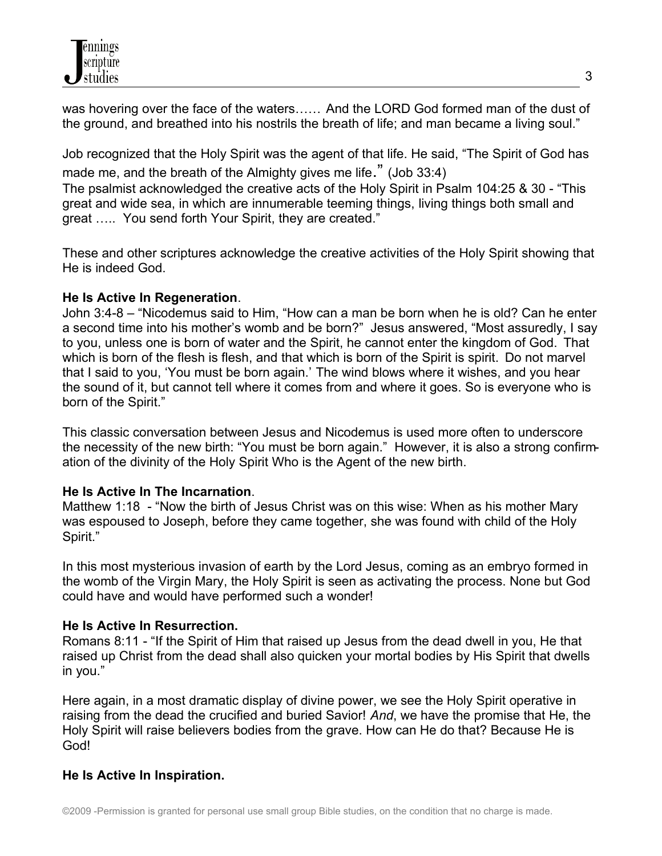was hovering over the face of the waters…… And the LORD God formed man of the dust of the ground, and breathed into his nostrils the breath of life; and man became a living soul."

Job recognized that the Holy Spirit was the agent of that life. He said, "The Spirit of God has made me, and the breath of the Almighty gives me life." (Job 33:4)

The psalmist acknowledged the creative acts of the Holy Spirit in Psalm 104:25 & 30 - "This great and wide sea, in which are innumerable teeming things, living things both small and great ….. You send forth Your Spirit, they are created."

These and other scriptures acknowledge the creative activities of the Holy Spirit showing that He is indeed God.

### **He Is Active In Regeneration**.

John 3:4-8 – "Nicodemus said to Him, "How can a man be born when he is old? Can he enter a second time into his mother's womb and be born?" Jesus answered, "Most assuredly, I say to you, unless one is born of water and the Spirit, he cannot enter the kingdom of God. That which is born of the flesh is flesh, and that which is born of the Spirit is spirit. Do not marvel that I said to you, 'You must be born again.' The wind blows where it wishes, and you hear the sound of it, but cannot tell where it comes from and where it goes. So is everyone who is born of the Spirit."

This classic conversation between Jesus and Nicodemus is used more often to underscore the necessity of the new birth: "You must be born again." However, it is also a strong confirmation of the divinity of the Holy Spirit Who is the Agent of the new birth.

## **He Is Active In The Incarnation**.

Matthew 1:18 - "Now the birth of Jesus Christ was on this wise: When as his mother Mary was espoused to Joseph, before they came together, she was found with child of the Holy Spirit."

In this most mysterious invasion of earth by the Lord Jesus, coming as an embryo formed in the womb of the Virgin Mary, the Holy Spirit is seen as activating the process. None but God could have and would have performed such a wonder!

## **He Is Active In Resurrection.**

Romans 8:11 - "If the Spirit of Him that raised up Jesus from the dead dwell in you, He that raised up Christ from the dead shall also quicken your mortal bodies by His Spirit that dwells in you."

Here again, in a most dramatic display of divine power, we see the Holy Spirit operative in raising from the dead the crucified and buried Savior! *And*, we have the promise that He, the Holy Spirit will raise believers bodies from the grave. How can He do that? Because He is God!

## **He Is Active In Inspiration.**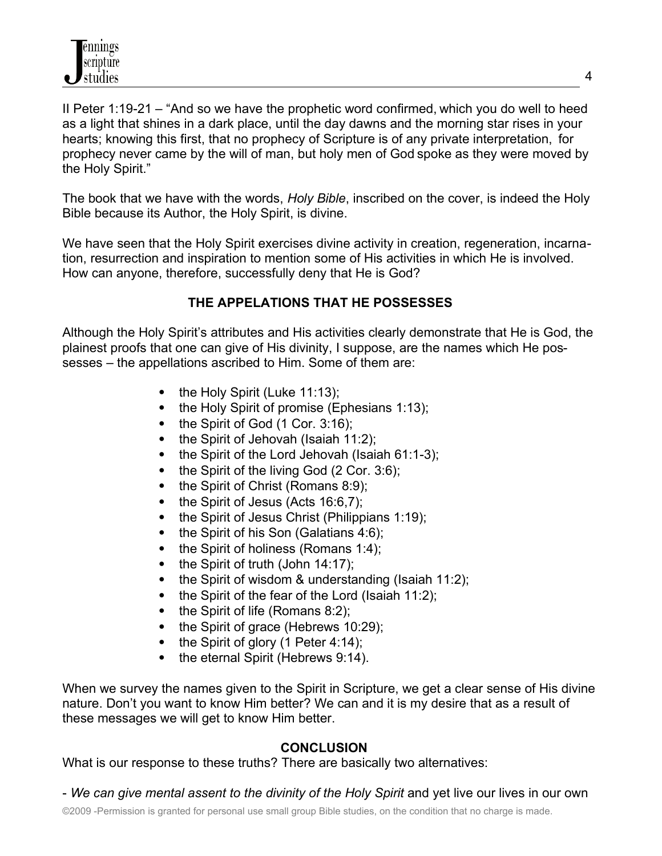II Peter 1:19-21 – "And so we have the prophetic word confirmed, which you do well to heed as a light that shines in a dark place, until the day dawns and the morning star rises in your hearts; knowing this first, that no prophecy of Scripture is of any private interpretation, for prophecy never came by the will of man, but holy men of God spoke as they were moved by the Holy Spirit."

The book that we have with the words, *Holy Bible*, inscribed on the cover, is indeed the Holy Bible because its Author, the Holy Spirit, is divine.

We have seen that the Holy Spirit exercises divine activity in creation, regeneration, incarnation, resurrection and inspiration to mention some of His activities in which He is involved. How can anyone, therefore, successfully deny that He is God?

# **THE APPELATIONS THAT HE POSSESSES**

Although the Holy Spirit's attributes and His activities clearly demonstrate that He is God, the plainest proofs that one can give of His divinity, I suppose, are the names which He possesses – the appellations ascribed to Him. Some of them are:

- the Holy Spirit (Luke 11:13);
- $\bullet$  the Holy Spirit of promise (Ephesians 1:13);
- $\bullet$  the Spirit of God (1 Cor. 3:16);
- $\bullet$  the Spirit of Jehovah (Isaiah 11:2);
- $\bullet$  the Spirit of the Lord Jehovah (Isaiah 61:1-3);
- the Spirit of the living God (2 Cor. 3:6);
- $\bullet$  the Spirit of Christ (Romans 8:9);
- $\bullet$  the Spirit of Jesus (Acts 16:6,7);
- the Spirit of Jesus Christ (Philippians 1:19);
- $\bullet$  the Spirit of his Son (Galatians 4:6);
- $\bullet$  the Spirit of holiness (Romans 1:4);
- $\bullet$  the Spirit of truth (John 14:17);
- $\bullet$  the Spirit of wisdom & understanding (Isaiah 11:2);
- the Spirit of the fear of the Lord (Isaiah 11:2);
- the Spirit of life (Romans 8:2);
- $\bullet$  the Spirit of grace (Hebrews 10:29);
- the Spirit of glory (1 Peter 4:14);
- the eternal Spirit (Hebrews 9:14).

When we survey the names given to the Spirit in Scripture, we get a clear sense of His divine nature. Don't you want to know Him better? We can and it is my desire that as a result of these messages we will get to know Him better.

# **CONCLUSION**

What is our response to these truths? There are basically two alternatives:

- *We can give mental assent to the divinity of the Holy Spirit* and yet live our lives in our own